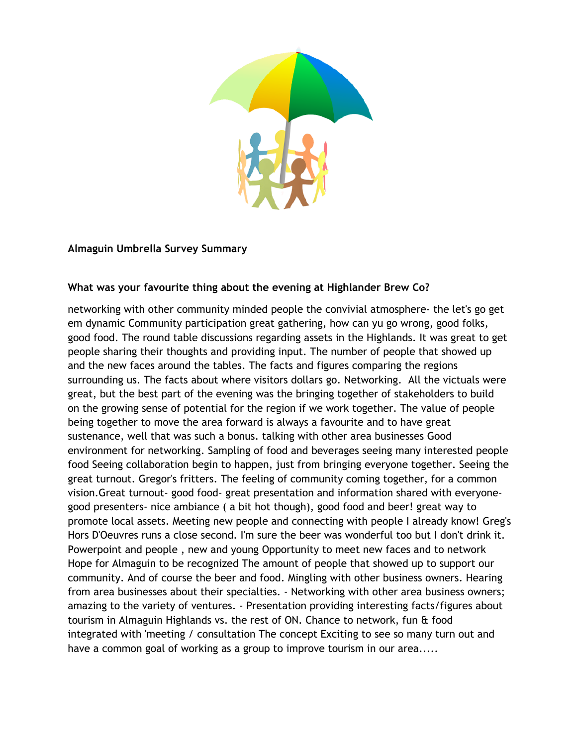

## **Almaguin Umbrella Survey Summary**

## **What was your favourite thing about the evening at Highlander Brew Co?**

networking with other community minded people the convivial atmosphere- the let's go get em dynamic Community participation great gathering, how can yu go wrong, good folks, good food. The round table discussions regarding assets in the Highlands. It was great to get people sharing their thoughts and providing input. The number of people that showed up and the new faces around the tables. The facts and figures comparing the regions surrounding us. The facts about where visitors dollars go. Networking. All the victuals were great, but the best part of the evening was the bringing together of stakeholders to build on the growing sense of potential for the region if we work together. The value of people being together to move the area forward is always a favourite and to have great sustenance, well that was such a bonus. talking with other area businesses Good environment for networking. Sampling of food and beverages seeing many interested people food Seeing collaboration begin to happen, just from bringing everyone together. Seeing the great turnout. Gregor's fritters. The feeling of community coming together, for a common vision.Great turnout- good food- great presentation and information shared with everyonegood presenters- nice ambiance ( a bit hot though), good food and beer! great way to promote local assets. Meeting new people and connecting with people I already know! Greg's Hors D'Oeuvres runs a close second. I'm sure the beer was wonderful too but I don't drink it. Powerpoint and people , new and young Opportunity to meet new faces and to network Hope for Almaguin to be recognized The amount of people that showed up to support our community. And of course the beer and food. Mingling with other business owners. Hearing from area businesses about their specialties. - Networking with other area business owners; amazing to the variety of ventures. - Presentation providing interesting facts/figures about tourism in Almaguin Highlands vs. the rest of ON. Chance to network, fun & food integrated with 'meeting / consultation The concept Exciting to see so many turn out and have a common goal of working as a group to improve tourism in our area.....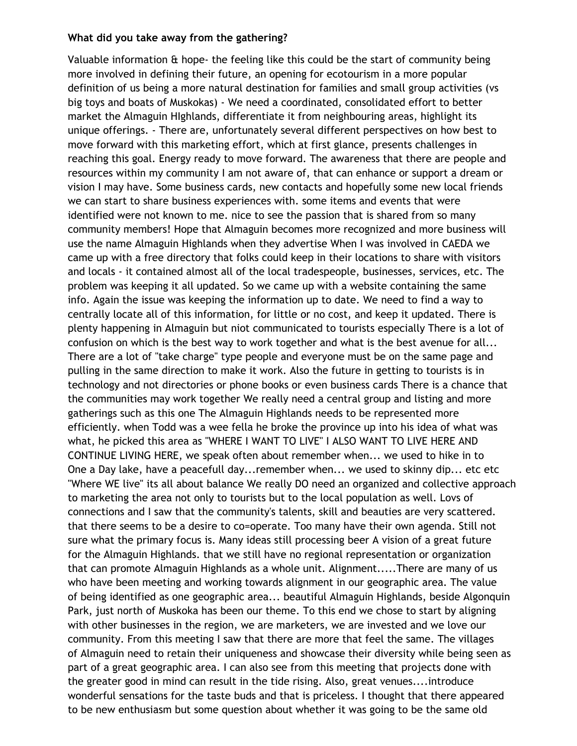## **What did you take away from the gathering?**

Valuable information & hope- the feeling like this could be the start of community being more involved in defining their future, an opening for ecotourism in a more popular definition of us being a more natural destination for families and small group activities (vs big toys and boats of Muskokas) - We need a coordinated, consolidated effort to better market the Almaguin HIghlands, differentiate it from neighbouring areas, highlight its unique offerings. - There are, unfortunately several different perspectives on how best to move forward with this marketing effort, which at first glance, presents challenges in reaching this goal. Energy ready to move forward. The awareness that there are people and resources within my community I am not aware of, that can enhance or support a dream or vision I may have. Some business cards, new contacts and hopefully some new local friends we can start to share business experiences with. some items and events that were identified were not known to me. nice to see the passion that is shared from so many community members! Hope that Almaguin becomes more recognized and more business will use the name Almaguin Highlands when they advertise When I was involved in CAEDA we came up with a free directory that folks could keep in their locations to share with visitors and locals - it contained almost all of the local tradespeople, businesses, services, etc. The problem was keeping it all updated. So we came up with a website containing the same info. Again the issue was keeping the information up to date. We need to find a way to centrally locate all of this information, for little or no cost, and keep it updated. There is plenty happening in Almaguin but niot communicated to tourists especially There is a lot of confusion on which is the best way to work together and what is the best avenue for all... There are a lot of "take charge" type people and everyone must be on the same page and pulling in the same direction to make it work. Also the future in getting to tourists is in technology and not directories or phone books or even business cards There is a chance that the communities may work together We really need a central group and listing and more gatherings such as this one The Almaguin Highlands needs to be represented more efficiently. when Todd was a wee fella he broke the province up into his idea of what was what, he picked this area as "WHERE I WANT TO LIVE" I ALSO WANT TO LIVE HERE AND CONTINUE LIVING HERE, we speak often about remember when... we used to hike in to One a Day lake, have a peacefull day...remember when... we used to skinny dip... etc etc "Where WE live" its all about balance We really DO need an organized and collective approach to marketing the area not only to tourists but to the local population as well. Lovs of connections and I saw that the community's talents, skill and beauties are very scattered. that there seems to be a desire to co=operate. Too many have their own agenda. Still not sure what the primary focus is. Many ideas still processing beer A vision of a great future for the Almaguin Highlands. that we still have no regional representation or organization that can promote Almaguin Highlands as a whole unit. Alignment.....There are many of us who have been meeting and working towards alignment in our geographic area. The value of being identified as one geographic area... beautiful Almaguin Highlands, beside Algonquin Park, just north of Muskoka has been our theme. To this end we chose to start by aligning with other businesses in the region, we are marketers, we are invested and we love our community. From this meeting I saw that there are more that feel the same. The villages of Almaguin need to retain their uniqueness and showcase their diversity while being seen as part of a great geographic area. I can also see from this meeting that projects done with the greater good in mind can result in the tide rising. Also, great venues....introduce wonderful sensations for the taste buds and that is priceless. I thought that there appeared to be new enthusiasm but some question about whether it was going to be the same old